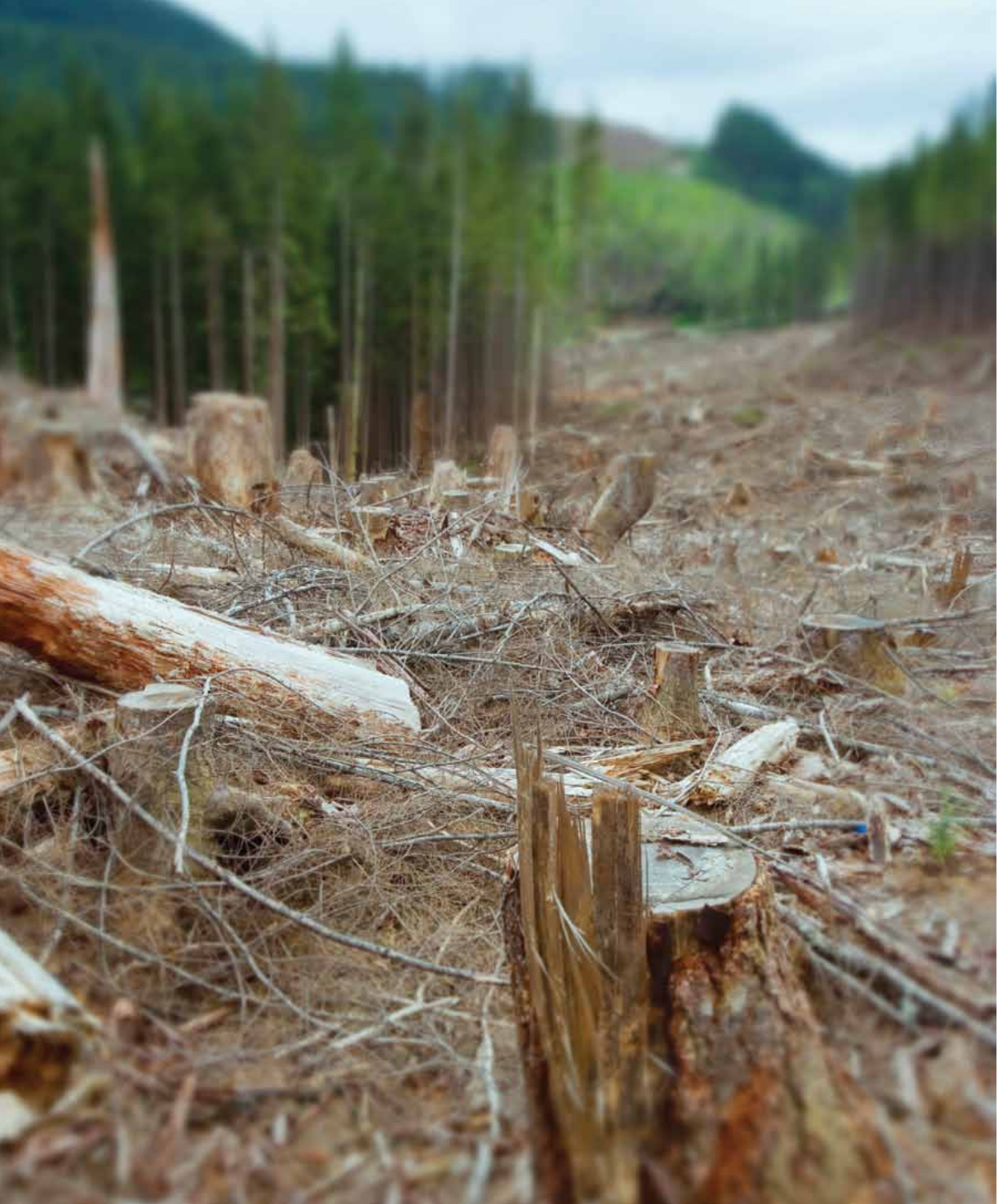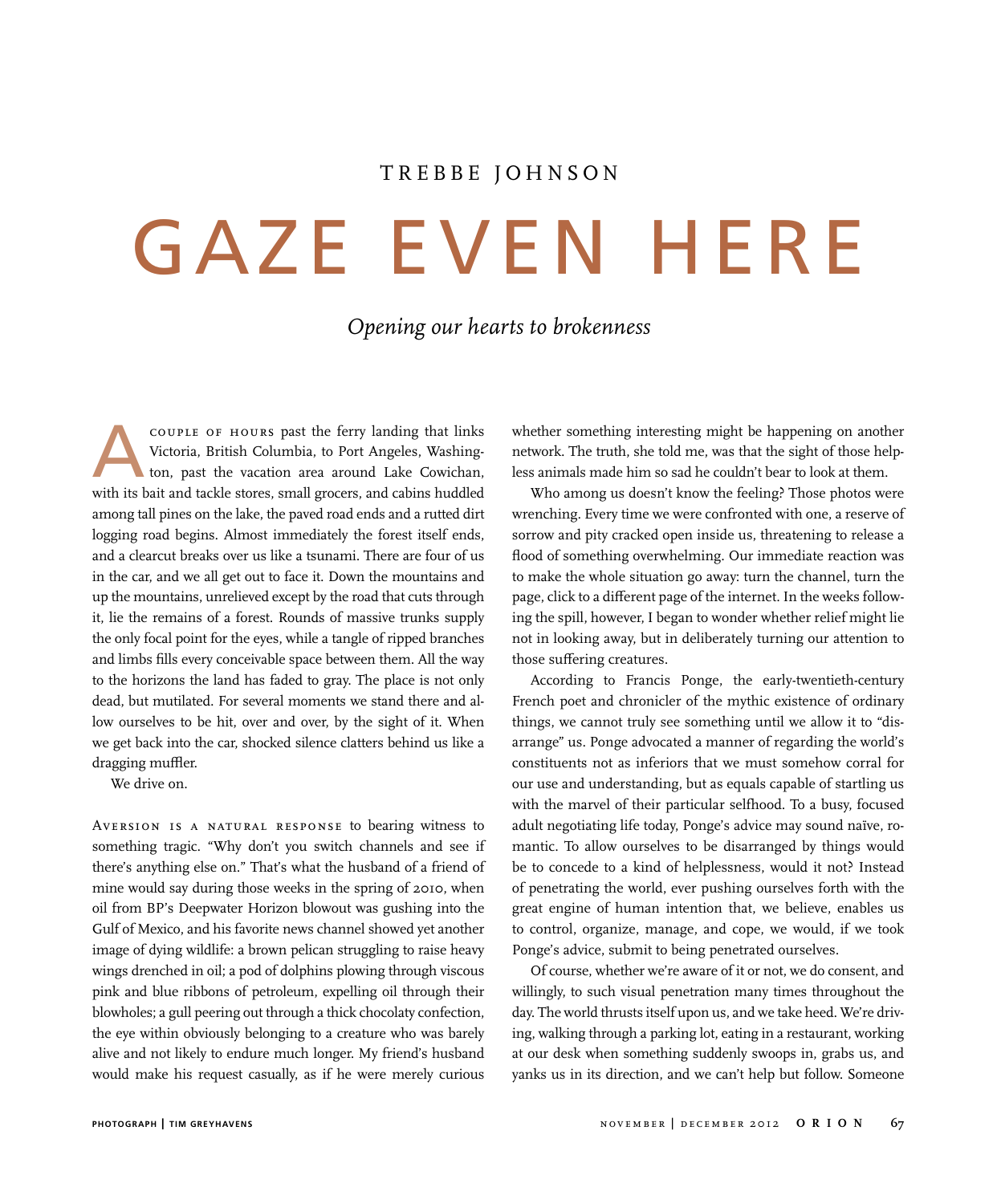## TREBBE JOHNSON

## gaze even here

## *Opening our hearts to brokenness*

COUPLE OF HOURS past the ferry landing that links<br>
Victoria, British Columbia, to Port Angeles, Washing-<br>
ton, past the vacation area around Lake Cowichan, Victoria, British Columbia, to Port Angeles, Washingwith its bait and tackle stores, small grocers, and cabins huddled among tall pines on the lake, the paved road ends and a rutted dirt logging road begins. Almost immediately the forest itself ends, and a clearcut breaks over us like a tsunami. There are four of us in the car, and we all get out to face it. Down the mountains and up the mountains, unrelieved except by the road that cuts through it, lie the remains of a forest. Rounds of massive trunks supply the only focal point for the eyes, while a tangle of ripped branches and limbs fills every conceivable space between them. All the way to the horizons the land has faded to gray. The place is not only dead, but mutilated. For several moments we stand there and allow ourselves to be hit, over and over, by the sight of it. When we get back into the car, shocked silence clatters behind us like a dragging muffler.

We drive on.

Aversion is a natural response to bearing witness to something tragic. "Why don't you switch channels and see if there's anything else on." That's what the husband of a friend of mine would say during those weeks in the spring of 2010, when oil from BP's Deepwater Horizon blowout was gushing into the Gulf of Mexico, and his favorite news channel showed yet another image of dying wildlife: a brown pelican struggling to raise heavy wings drenched in oil; a pod of dolphins plowing through viscous pink and blue ribbons of petroleum, expelling oil through their blowholes; a gull peering out through a thick chocolaty confection, the eye within obviously belonging to a creature who was barely alive and not likely to endure much longer. My friend's husband would make his request casually, as if he were merely curious

whether something interesting might be happening on another network. The truth, she told me, was that the sight of those helpless animals made him so sad he couldn't bear to look at them.

Who among us doesn't know the feeling? Those photos were wrenching. Every time we were confronted with one, a reserve of sorrow and pity cracked open inside us, threatening to release a flood of something overwhelming. Our immediate reaction was to make the whole situation go away: turn the channel, turn the page, click to a different page of the internet. In the weeks following the spill, however, I began to wonder whether relief might lie not in looking away, but in deliberately turning our attention to those suffering creatures.

According to Francis Ponge, the early-twentieth-century French poet and chronicler of the mythic existence of ordinary things, we cannot truly see something until we allow it to "disarrange" us. Ponge advocated a manner of regarding the world's constituents not as inferiors that we must somehow corral for our use and understanding, but as equals capable of startling us with the marvel of their particular selfhood. To a busy, focused adult negotiating life today, Ponge's advice may sound naïve, romantic. To allow ourselves to be disarranged by things would be to concede to a kind of helplessness, would it not? Instead of penetrating the world, ever pushing ourselves forth with the great engine of human intention that, we believe, enables us to control, organize, manage, and cope, we would, if we took Ponge's advice, submit to being penetrated ourselves.

Of course, whether we're aware of it or not, we do consent, and willingly, to such visual penetration many times throughout the day. The world thrusts itself upon us, and we take heed. We're driving, walking through a parking lot, eating in a restaurant, working at our desk when something suddenly swoops in, grabs us, and yanks us in its direction, and we can't help but follow. Someone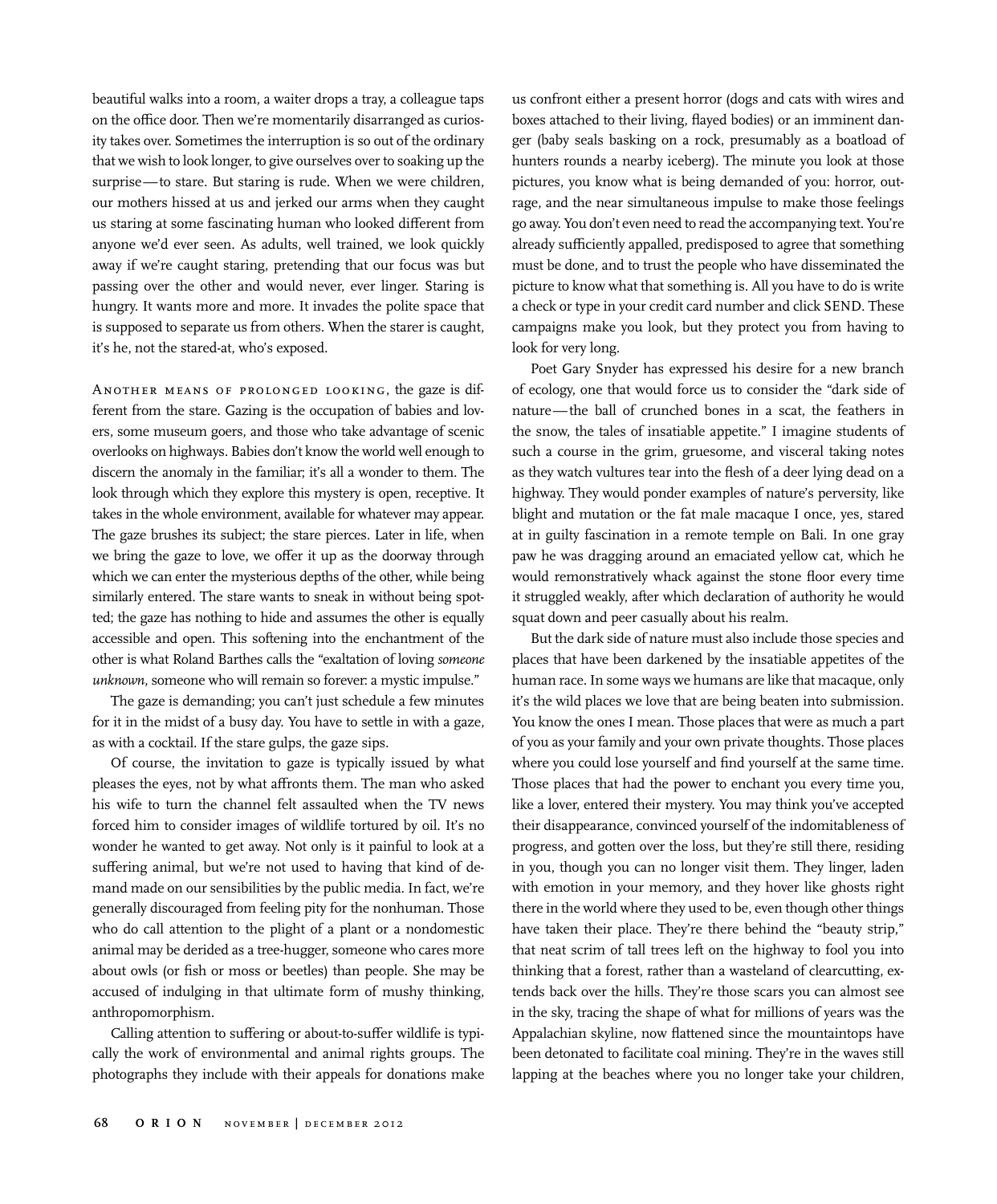beautiful walks into a room, a waiter drops a tray, a colleague taps on the office door. Then we're momentarily disarranged as curiosity takes over. Sometimes the interruption is so out of the ordinary that we wish to look longer, to give ourselves over to soaking up the surprise—to stare. But staring is rude. When we were children, our mothers hissed at us and jerked our arms when they caught us staring at some fascinating human who looked different from anyone we'd ever seen. As adults, well trained, we look quickly away if we're caught staring, pretending that our focus was but passing over the other and would never, ever linger. Staring is hungry. It wants more and more. It invades the polite space that is supposed to separate us from others. When the starer is caught, it's he, not the stared-at, who's exposed.

Another means of prolonged looking, the gaze is different from the stare. Gazing is the occupation of babies and lovers, some museum goers, and those who take advantage of scenic overlooks on highways. Babies don't know the world well enough to discern the anomaly in the familiar; it's all a wonder to them. The look through which they explore this mystery is open, receptive. It takes in the whole environment, available for whatever may appear. The gaze brushes its subject; the stare pierces. Later in life, when we bring the gaze to love, we offer it up as the doorway through which we can enter the mysterious depths of the other, while being similarly entered. The stare wants to sneak in without being spotted; the gaze has nothing to hide and assumes the other is equally accessible and open. This softening into the enchantment of the other is what Roland Barthes calls the "exaltation of loving *someone unknown*, someone who will remain so forever: a mystic impulse."

The gaze is demanding; you can't just schedule a few minutes for it in the midst of a busy day. You have to settle in with a gaze, as with a cocktail. If the stare gulps, the gaze sips.

Of course, the invitation to gaze is typically issued by what pleases the eyes, not by what affronts them. The man who asked his wife to turn the channel felt assaulted when the TV news forced him to consider images of wildlife tortured by oil. It's no wonder he wanted to get away. Not only is it painful to look at a suffering animal, but we're not used to having that kind of demand made on our sensibilities by the public media. In fact, we're generally discouraged from feeling pity for the nonhuman. Those who do call attention to the plight of a plant or a nondomestic animal may be derided as a tree-hugger, someone who cares more about owls (or fish or moss or beetles) than people. She may be accused of indulging in that ultimate form of mushy thinking, anthropomorphism.

Calling attention to suffering or about-to-suffer wildlife is typically the work of environmental and animal rights groups. The photographs they include with their appeals for donations make us confront either a present horror (dogs and cats with wires and boxes attached to their living, flayed bodies) or an imminent danger (baby seals basking on a rock, presumably as a boatload of hunters rounds a nearby iceberg). The minute you look at those pictures, you know what is being demanded of you: horror, outrage, and the near simultaneous impulse to make those feelings go away. You don't even need to read the accompanying text. You're already sufficiently appalled, predisposed to agree that something must be done, and to trust the people who have disseminated the picture to know what that something is. All you have to do is write a check or type in your credit card number and click SEND. These campaigns make you look, but they protect you from having to look for very long.

Poet Gary Snyder has expressed his desire for a new branch of ecology, one that would force us to consider the "dark side of nature—the ball of crunched bones in a scat, the feathers in the snow, the tales of insatiable appetite." I imagine students of such a course in the grim, gruesome, and visceral taking notes as they watch vultures tear into the flesh of a deer lying dead on a highway. They would ponder examples of nature's perversity, like blight and mutation or the fat male macaque I once, yes, stared at in guilty fascination in a remote temple on Bali. In one gray paw he was dragging around an emaciated yellow cat, which he would remonstratively whack against the stone floor every time it struggled weakly, after which declaration of authority he would squat down and peer casually about his realm.

But the dark side of nature must also include those species and places that have been darkened by the insatiable appetites of the human race. In some ways we humans are like that macaque, only it's the wild places we love that are being beaten into submission. You know the ones I mean. Those places that were as much a part of you as your family and your own private thoughts. Those places where you could lose yourself and find yourself at the same time. Those places that had the power to enchant you every time you, like a lover, entered their mystery. You may think you've accepted their disappearance, convinced yourself of the indomitableness of progress, and gotten over the loss, but they're still there, residing in you, though you can no longer visit them. They linger, laden with emotion in your memory, and they hover like ghosts right there in the world where they used to be, even though other things have taken their place. They're there behind the "beauty strip," that neat scrim of tall trees left on the highway to fool you into thinking that a forest, rather than a wasteland of clearcutting, extends back over the hills. They're those scars you can almost see in the sky, tracing the shape of what for millions of years was the Appalachian skyline, now flattened since the mountaintops have been detonated to facilitate coal mining. They're in the waves still lapping at the beaches where you no longer take your children,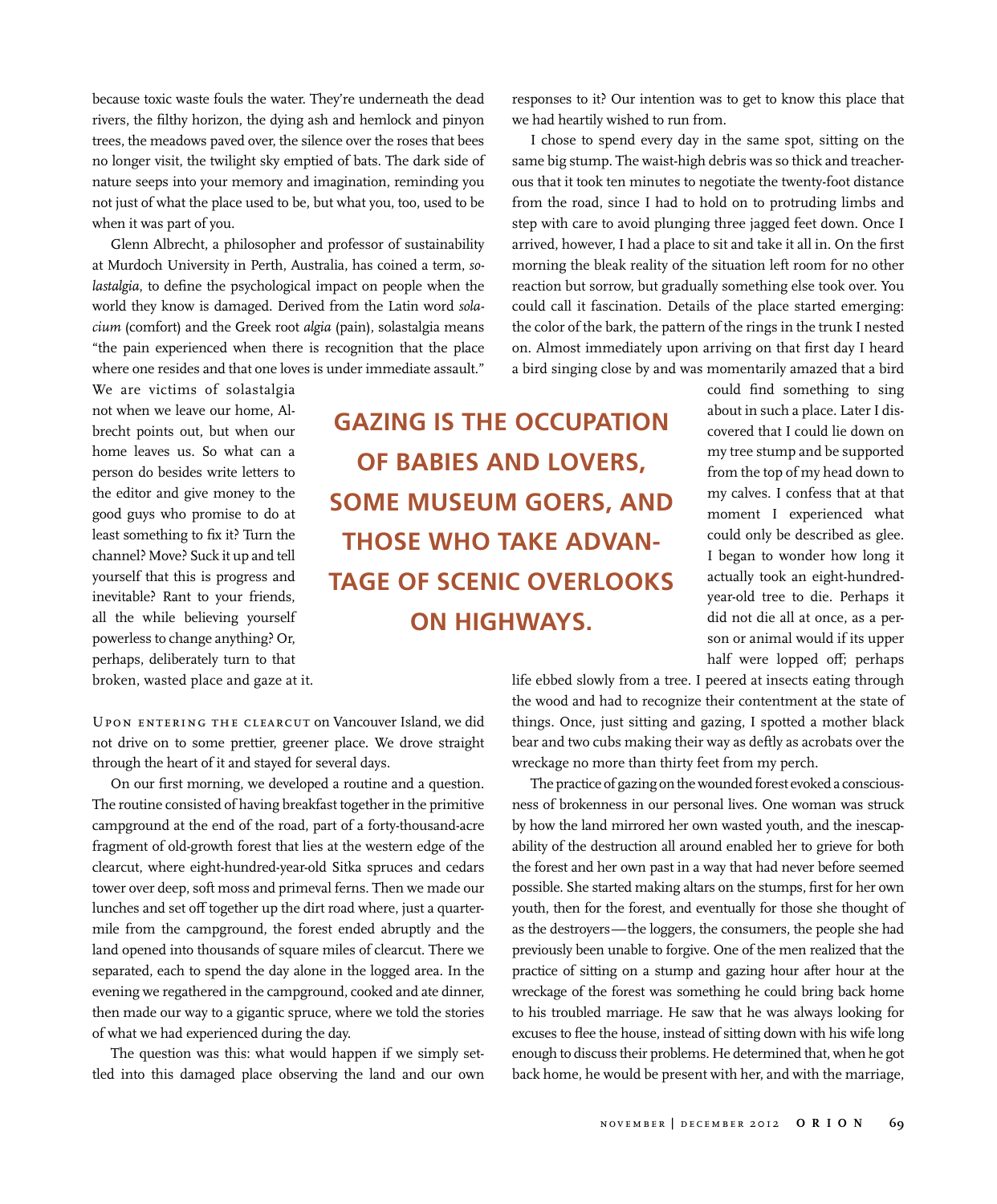because toxic waste fouls the water. They're underneath the dead rivers, the filthy horizon, the dying ash and hemlock and pinyon trees, the meadows paved over, the silence over the roses that bees no longer visit, the twilight sky emptied of bats. The dark side of nature seeps into your memory and imagination, reminding you not just of what the place used to be, but what you, too, used to be when it was part of you.

Glenn Albrecht, a philosopher and professor of sustainability at Murdoch University in Perth, Australia, has coined a term, *solastalgia*, to define the psychological impact on people when the world they know is damaged. Derived from the Latin word *solacium* (comfort) and the Greek root *algia* (pain), solastalgia means "the pain experienced when there is recognition that the place where one resides and that one loves is under immediate assault."

We are victims of solastalgia not when we leave our home, Albrecht points out, but when our home leaves us. So what can a person do besides write letters to the editor and give money to the good guys who promise to do at least something to fix it? Turn the channel? Move? Suck it up and tell yourself that this is progress and inevitable? Rant to your friends, all the while believing yourself powerless to change anything? Or, perhaps, deliberately turn to that broken, wasted place and gaze at it.

Upon entering the clearcut on Vancouver Island, we did not drive on to some prettier, greener place. We drove straight through the heart of it and stayed for several days.

On our first morning, we developed a routine and a question. The routine consisted of having breakfast together in the primitive campground at the end of the road, part of a forty-thousand-acre fragment of old-growth forest that lies at the western edge of the clearcut, where eight-hundred-year-old Sitka spruces and cedars tower over deep, soft moss and primeval ferns. Then we made our lunches and set off together up the dirt road where, just a quartermile from the campground, the forest ended abruptly and the land opened into thousands of square miles of clearcut. There we separated, each to spend the day alone in the logged area. In the evening we regathered in the campground, cooked and ate dinner, then made our way to a gigantic spruce, where we told the stories of what we had experienced during the day.

The question was this: what would happen if we simply settled into this damaged place observing the land and our own responses to it? Our intention was to get to know this place that we had heartily wished to run from.

I chose to spend every day in the same spot, sitting on the same big stump. The waist-high debris was so thick and treacherous that it took ten minutes to negotiate the twenty-foot distance from the road, since I had to hold on to protruding limbs and step with care to avoid plunging three jagged feet down. Once I arrived, however, I had a place to sit and take it all in. On the first morning the bleak reality of the situation left room for no other reaction but sorrow, but gradually something else took over. You could call it fascination. Details of the place started emerging: the color of the bark, the pattern of the rings in the trunk I nested on. Almost immediately upon arriving on that first day I heard a bird singing close by and was momentarily amazed that a bird

**Gazing is the occupation of babies and lovers, some museum goers, and those who take advantage of scenic overlooks on highways.**

could find something to sing about in such a place. Later I discovered that I could lie down on my tree stump and be supported from the top of my head down to my calves. I confess that at that moment I experienced what could only be described as glee. I began to wonder how long it actually took an eight-hundredyear-old tree to die. Perhaps it did not die all at once, as a person or animal would if its upper half were lopped off; perhaps

life ebbed slowly from a tree. I peered at insects eating through the wood and had to recognize their contentment at the state of things. Once, just sitting and gazing, I spotted a mother black bear and two cubs making their way as deftly as acrobats over the wreckage no more than thirty feet from my perch.

The practice of gazing on the wounded forest evoked a consciousness of brokenness in our personal lives. One woman was struck by how the land mirrored her own wasted youth, and the inescapability of the destruction all around enabled her to grieve for both the forest and her own past in a way that had never before seemed possible. She started making altars on the stumps, first for her own youth, then for the forest, and eventually for those she thought of as the destroyers—the loggers, the consumers, the people she had previously been unable to forgive. One of the men realized that the practice of sitting on a stump and gazing hour after hour at the wreckage of the forest was something he could bring back home to his troubled marriage. He saw that he was always looking for excuses to flee the house, instead of sitting down with his wife long enough to discuss their problems. He determined that, when he got back home, he would be present with her, and with the marriage,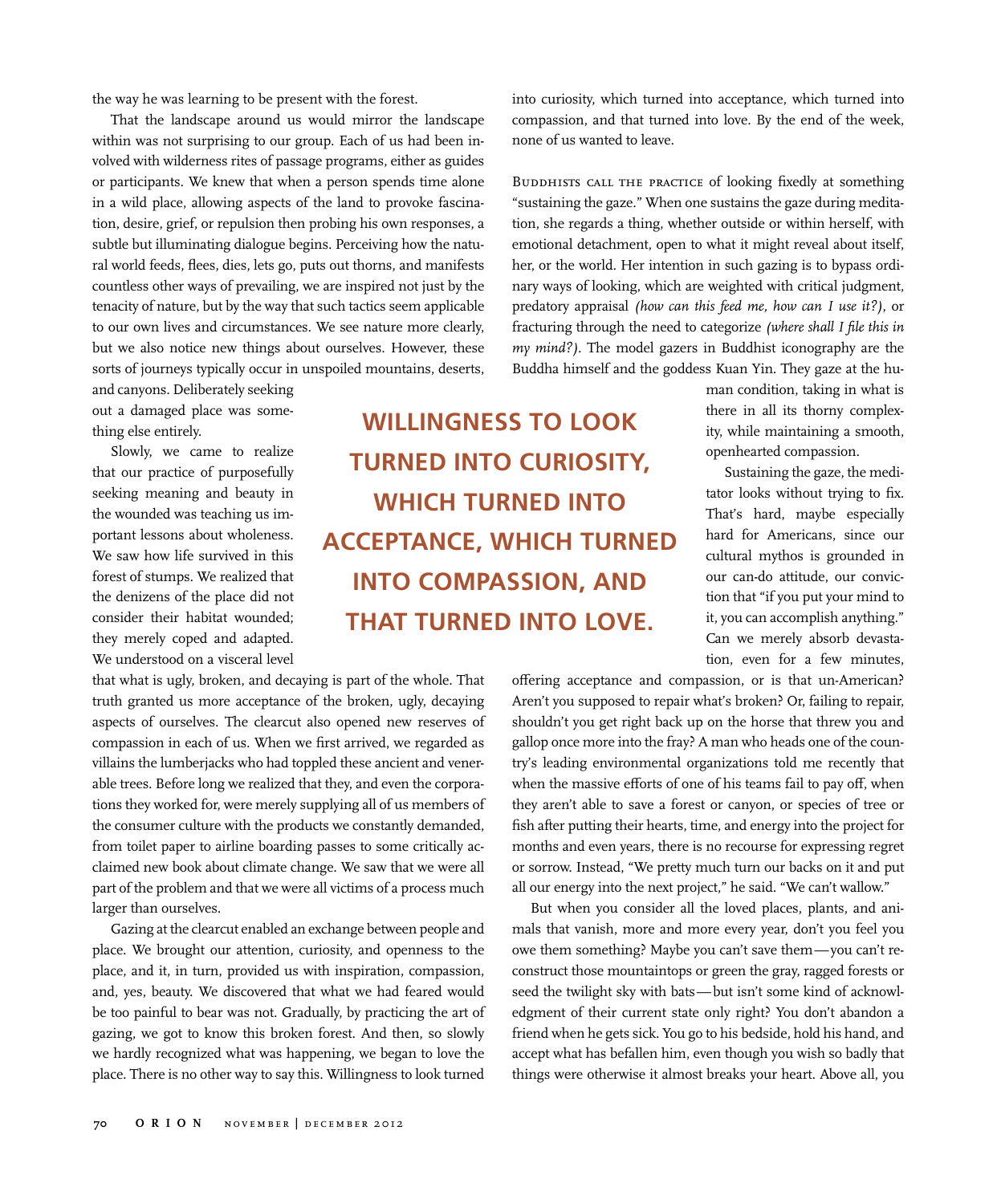the way he was learning to be present with the forest.

That the landscape around us would mirror the landscape within was not surprising to our group. Each of us had been involved with wilderness rites of passage programs, either as guides or participants. We knew that when a person spends time alone in a wild place, allowing aspects of the land to provoke fascination, desire, grief, or repulsion then probing his own responses, a subtle but illuminating dialogue begins. Perceiving how the natural world feeds, flees, dies, lets go, puts out thorns, and manifests countless other ways of prevailing, we are inspired not just by the tenacity of nature, but by the way that such tactics seem applicable to our own lives and circumstances. We see nature more clearly, but we also notice new things about ourselves. However, these sorts of journeys typically occur in unspoiled mountains, deserts,

and canyons. Deliberately seeking out a damaged place was something else entirely.

Slowly, we came to realize that our practice of purposefully seeking meaning and beauty in the wounded was teaching us important lessons about wholeness. We saw how life survived in this forest of stumps. We realized that the denizens of the place did not consider their habitat wounded; they merely coped and adapted. We understood on a visceral level

that what is ugly, broken, and decaying is part of the whole. That truth granted us more acceptance of the broken, ugly, decaying aspects of ourselves. The clearcut also opened new reserves of compassion in each of us. When we first arrived, we regarded as villains the lumberjacks who had toppled these ancient and venerable trees. Before long we realized that they, and even the corporations they worked for, were merely supplying all of us members of the consumer culture with the products we constantly demanded, from toilet paper to airline boarding passes to some critically acclaimed new book about climate change. We saw that we were all part of the problem and that we were all victims of a process much larger than ourselves.

Gazing at the clearcut enabled an exchange between people and place. We brought our attention, curiosity, and openness to the place, and it, in turn, provided us with inspiration, compassion, and, yes, beauty. We discovered that what we had feared would be too painful to bear was not. Gradually, by practicing the art of gazing, we got to know this broken forest. And then, so slowly we hardly recognized what was happening, we began to love the place. There is no other way to say this. Willingness to look turned

**Willingness to look turned into curiosity, which turned into acceptance, which turned into compassion, and that turned into love.**

into curiosity, which turned into acceptance, which turned into compassion, and that turned into love. By the end of the week, none of us wanted to leave.

BUDDHISTS CALL THE PRACTICE of looking fixedly at something "sustaining the gaze." When one sustains the gaze during meditation, she regards a thing, whether outside or within herself, with emotional detachment, open to what it might reveal about itself, her, or the world. Her intention in such gazing is to bypass ordinary ways of looking, which are weighted with critical judgment, predatory appraisal *(how can this feed me, how can I use it?)*, or fracturing through the need to categorize *(where shall I file this in my mind?)*. The model gazers in Buddhist iconography are the Buddha himself and the goddess Kuan Yin. They gaze at the hu-

> man condition, taking in what is there in all its thorny complexity, while maintaining a smooth, openhearted compassion.

> Sustaining the gaze, the meditator looks without trying to fix. That's hard, maybe especially hard for Americans, since our cultural mythos is grounded in our can-do attitude, our conviction that "if you put your mind to it, you can accomplish anything." Can we merely absorb devastation, even for a few minutes,

offering acceptance and compassion, or is that un-American? Aren't you supposed to repair what's broken? Or, failing to repair, shouldn't you get right back up on the horse that threw you and gallop once more into the fray? A man who heads one of the country's leading environmental organizations told me recently that when the massive efforts of one of his teams fail to pay off, when they aren't able to save a forest or canyon, or species of tree or fish after putting their hearts, time, and energy into the project for months and even years, there is no recourse for expressing regret or sorrow. Instead, "We pretty much turn our backs on it and put all our energy into the next project," he said. "We can't wallow."

But when you consider all the loved places, plants, and animals that vanish, more and more every year, don't you feel you owe them something? Maybe you can't save them—you can't reconstruct those mountaintops or green the gray, ragged forests or seed the twilight sky with bats—but isn't some kind of acknowledgment of their current state only right? You don't abandon a friend when he gets sick. You go to his bedside, hold his hand, and accept what has befallen him, even though you wish so badly that things were otherwise it almost breaks your heart. Above all, you